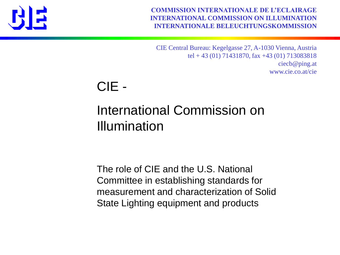

**COMMISSION INTERNATIONALE DE L'ECLAIRAGE INTERNATIONAL COMMISSION ON ILLUMINATION INTERNATIONALE BELEUCHTUNGSKOMMISSION**

CIE Central Bureau: Kegelgasse 27, A-1030 Vienna, Austria tel + 43 (01) 71431870, fax +43 (01) 713083818 ciecb@ping.at www.cie.co.at/cie

CIE -

#### International Commission on Illumination

The role of CIE and the U.S. National Committee in establishing standards for measurement and characterization of Solid State Lighting equipment and products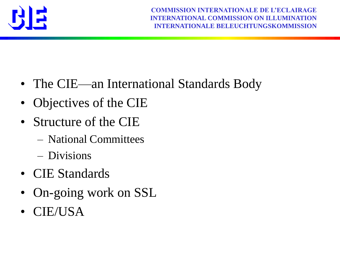

- The CIE—an International Standards Body
- Objectives of the CIE
- Structure of the CIE
	- National Committees
	- Divisions
- CIE Standards
- On-going work on SSL
- CIE/USA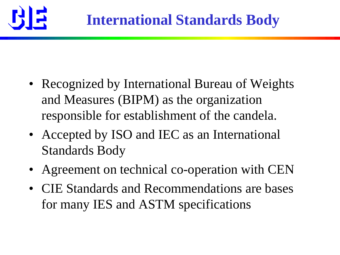

- Recognized by International Bureau of Weights and Measures (BIPM) as the organization responsible for establishment of the candela.
- Accepted by ISO and IEC as an International Standards Body
- Agreement on technical co-operation with CEN
- CIE Standards and Recommendations are bases for many IES and ASTM specifications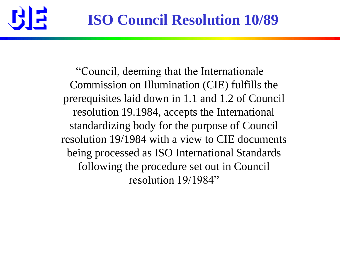

―Council, deeming that the Internationale Commission on Illumination (CIE) fulfills the prerequisites laid down in 1.1 and 1.2 of Council resolution 19.1984, accepts the International standardizing body for the purpose of Council resolution 19/1984 with a view to CIE documents being processed as ISO International Standards following the procedure set out in Council resolution 19/1984"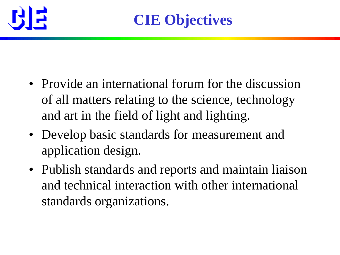

- Provide an international forum for the discussion of all matters relating to the science, technology and art in the field of light and lighting.
- Develop basic standards for measurement and application design.
- Publish standards and reports and maintain liaison and technical interaction with other international standards organizations.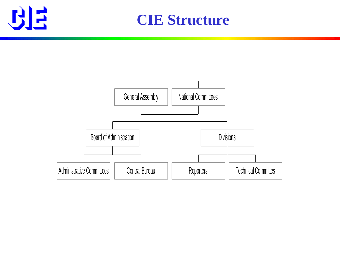

**CIE Structure**

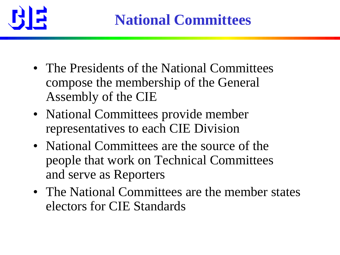

- The Presidents of the National Committees compose the membership of the General Assembly of the CIE
- National Committees provide member representatives to each CIE Division
- National Committees are the source of the people that work on Technical Committees and serve as Reporters
- The National Committees are the member states electors for CIE Standards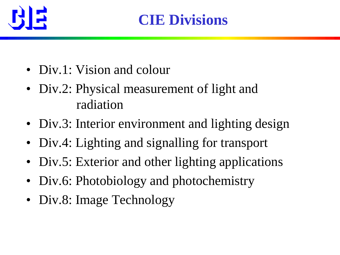

- Div.1: Vision and colour
- Div.2: Physical measurement of light and radiation
- Div.3: Interior environment and lighting design
- Div.4: Lighting and signalling for transport
- Div.5: Exterior and other lighting applications
- Div.6: Photobiology and photochemistry
- Div.8: Image Technology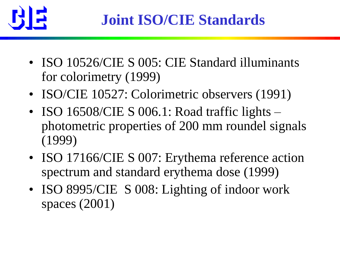

- ISO 10526/CIE S 005: CIE Standard illuminants for colorimetry (1999)
- ISO/CIE 10527: Colorimetric observers (1991)
- ISO 16508/CIE S 006.1: Road traffic lights photometric properties of 200 mm roundel signals (1999)
- ISO 17166/CIE S 007: Erythema reference action spectrum and standard erythema dose (1999)
- ISO 8995/CIE S 008: Lighting of indoor work spaces (2001)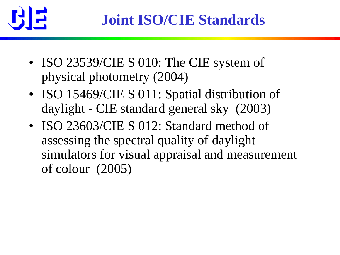

- ISO 23539/CIE S 010: The CIE system of physical photometry (2004)
- ISO 15469/CIE S 011: Spatial distribution of daylight - CIE standard general sky (2003)
- ISO 23603/CIE S 012: Standard method of assessing the spectral quality of daylight simulators for visual appraisal and measurement of colour (2005)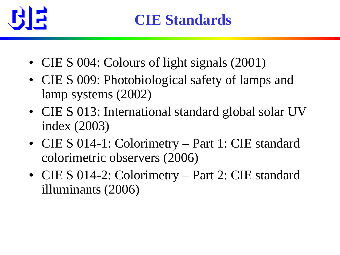

- CIE S 004: Colours of light signals (2001)
- CIE S 009: Photobiological safety of lamps and lamp systems (2002)
- CIE S 013: International standard global solar UV index (2003)
- CIE S 014-1: Colorimetry Part 1: CIE standard colorimetric observers (2006)
- CIE S 014-2: Colorimetry Part 2: CIE standard illuminants (2006)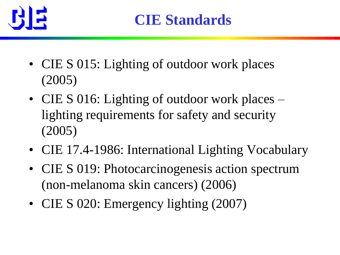

- CIE S 015: Lighting of outdoor work places (2005)
- CIE S 016: Lighting of outdoor work places lighting requirements for safety and security (2005)
- CIE 17.4-1986: International Lighting Vocabulary
- CIE S 019: Photocarcinogenesis action spectrum (non-melanoma skin cancers) (2006)
- CIE S 020: Emergency lighting (2007)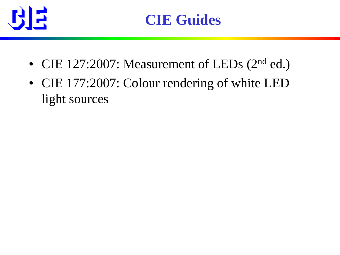

- CIE 127:2007: Measurement of LEDs (2<sup>nd</sup> ed.)
- CIE 177:2007: Colour rendering of white LED light sources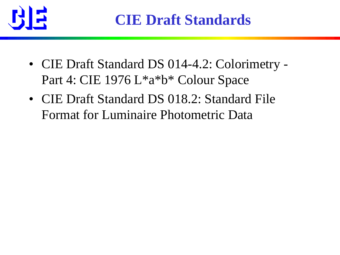

- CIE Draft Standard DS 014-4.2: Colorimetry Part 4: CIE 1976 L\*a\*b\* Colour Space
- CIE Draft Standard DS 018.2: Standard File Format for Luminaire Photometric Data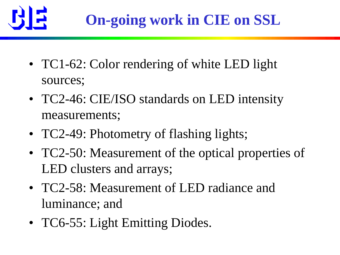

- TC1-62: Color rendering of white LED light sources;
- TC2-46: CIE/ISO standards on LED intensity measurements;
- TC2-49: Photometry of flashing lights;
- TC2-50: Measurement of the optical properties of LED clusters and arrays;
- TC2-58: Measurement of LED radiance and luminance; and
- TC6-55: Light Emitting Diodes.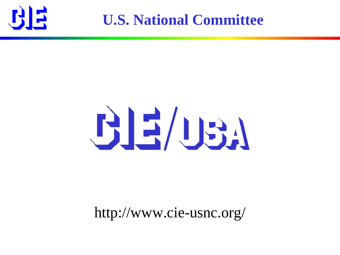

**U.S. National Committee**

# BE/USA

#### http://www.cie-usnc.org/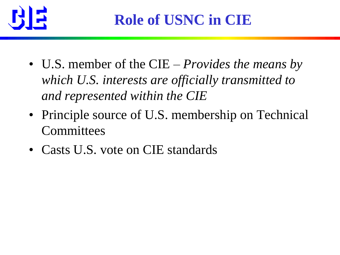

- U.S. member of the CIE *Provides the means by which U.S. interests are officially transmitted to and represented within the CIE*
- Principle source of U.S. membership on Technical **Committees**
- Casts U.S. vote on CIE standards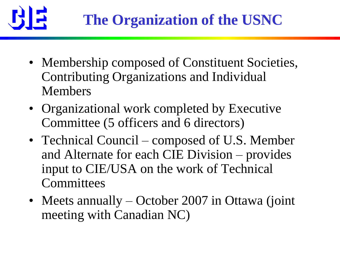

- Membership composed of Constituent Societies, Contributing Organizations and Individual Members
- Organizational work completed by Executive Committee (5 officers and 6 directors)
- Technical Council composed of U.S. Member and Alternate for each CIE Division – provides input to CIE/USA on the work of Technical **Committees**
- Meets annually October 2[0](http://www.cie.co.at/publ/abst/ds018.html)07 in Ottawa (joint meeting with Canadian NC)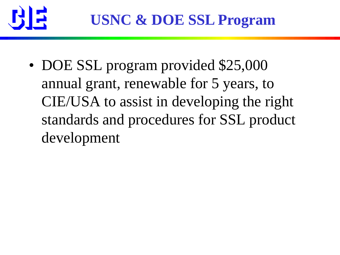

• DOE SSL program provided \$25,000 annual grant, renewable for 5 years, to CIE/USA to assist in developing the right standards and procedures for SSL product development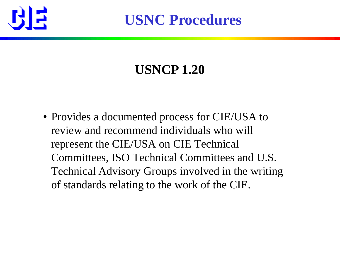

**USNC Procedures**

### **USNCP 1.20**

• Provides a documented process for CIE/USA to review and recommend individuals who will represent the CIE/USA on CIE Technical Committees, ISO Technical Committees and U.S. Technical Advisory Groups involved in the writing of standards relating to the work of the CIE.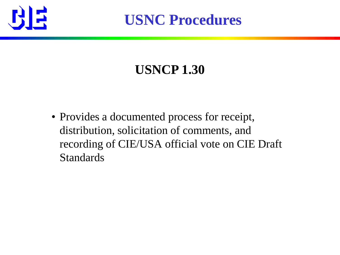

**USNC Procedures**

### **USNCP 1.30**

• Provides a documented process for receipt, distribution, solicitation of comments, and recording of CIE/USA official vote on CIE Draft Standards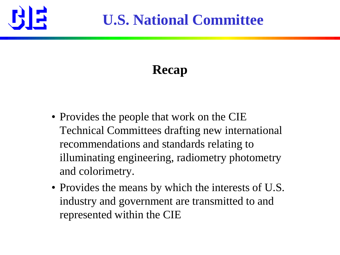

## **U.S. National Committee**

## **Recap**

- Provides the people that work on the CIE Technical Committees drafting new international recommendations and standards relating to illuminating engineering, radiometry photometry and colorimetry.
- Provides the means by which the interests of U.S. industry and government are transmitted to and represented within the CIE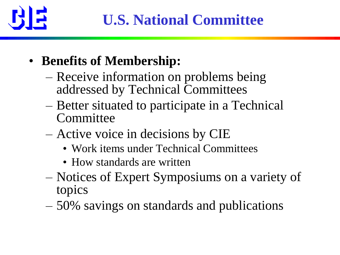

- **Benefits of Membership:**
	- Receive information on problems being addressed by Technical Committees
	- Better situated to participate in a Technical **Committee**
	- Active voice in decisions by CIE
		- Work items under Technical Committees
		- How standards are written
	- Notices of Expert Symposiums on a variety of topics
	- 50% savings on standards and publications